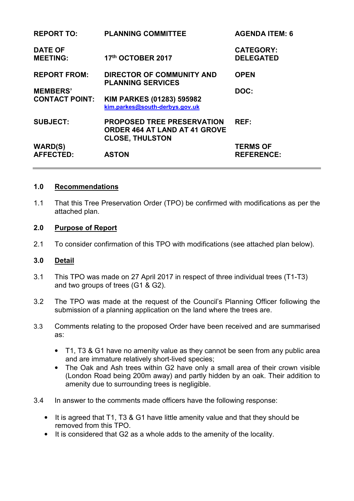| <b>REPORT TO:</b>                 | <b>PLANNING COMMITTEE</b>                                                                           | <b>AGENDA ITEM: 6</b>                |
|-----------------------------------|-----------------------------------------------------------------------------------------------------|--------------------------------------|
| <b>DATE OF</b><br><b>MEETING:</b> | 17th OCTOBER 2017                                                                                   | <b>CATEGORY:</b><br><b>DELEGATED</b> |
| <b>REPORT FROM:</b>               | <b>DIRECTOR OF COMMUNITY AND</b><br><b>PLANNING SERVICES</b>                                        | <b>OPEN</b>                          |
| <b>MEMBERS'</b>                   |                                                                                                     | DOC:                                 |
| <b>CONTACT POINT:</b>             | KIM PARKES (01283) 595982<br>kim.parkes@south-derbys.gov.uk                                         |                                      |
| <b>SUBJECT:</b>                   | <b>PROPOSED TREE PRESERVATION</b><br><b>ORDER 464 AT LAND AT 41 GROVE</b><br><b>CLOSE, THULSTON</b> | REF:                                 |
| <b>WARD(S)</b>                    |                                                                                                     | <b>TERMS OF</b>                      |
| <b>AFFECTED:</b>                  | <b>ASTON</b>                                                                                        | <b>REFERENCE:</b>                    |

### **1.0 Recommendations**

1.1 That this Tree Preservation Order (TPO) be confirmed with modifications as per the attached plan.

### **2.0 Purpose of Report**

2.1 To consider confirmation of this TPO with modifications (see attached plan below).

#### **3.0 Detail**

- 3.1 This TPO was made on 27 April 2017 in respect of three individual trees (T1-T3) and two groups of trees (G1 & G2).
- 3.2 The TPO was made at the request of the Council's Planning Officer following the submission of a planning application on the land where the trees are.
- 3.3 Comments relating to the proposed Order have been received and are summarised as:
	- T1, T3 & G1 have no amenity value as they cannot be seen from any public area and are immature relatively short-lived species;
	- The Oak and Ash trees within G2 have only a small area of their crown visible (London Road being 200m away) and partly hidden by an oak. Their addition to amenity due to surrounding trees is negligible.
- 3.4 In answer to the comments made officers have the following response:
	- It is agreed that T1, T3 & G1 have little amenity value and that they should be removed from this TPO.
	- It is considered that G2 as a whole adds to the amenity of the locality.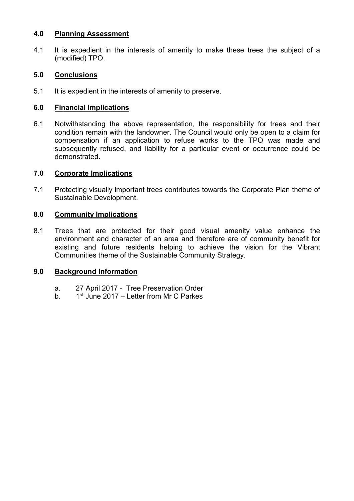#### **4.0 Planning Assessment**

4.1 It is expedient in the interests of amenity to make these trees the subject of a (modified) TPO.

# **5.0 Conclusions**

5.1 It is expedient in the interests of amenity to preserve.

# **6.0 Financial Implications**

6.1 Notwithstanding the above representation, the responsibility for trees and their condition remain with the landowner. The Council would only be open to a claim for compensation if an application to refuse works to the TPO was made and subsequently refused, and liability for a particular event or occurrence could be demonstrated.

## **7.0 Corporate Implications**

7.1 Protecting visually important trees contributes towards the Corporate Plan theme of Sustainable Development.

### **8.0 Community Implications**

8.1 Trees that are protected for their good visual amenity value enhance the environment and character of an area and therefore are of community benefit for existing and future residents helping to achieve the vision for the Vibrant Communities theme of the Sustainable Community Strategy.

## **9.0 Background Information**

- a. 27 April 2017 Tree Preservation Order
- b.  $1^{st}$  June 2017 Letter from Mr C Parkes